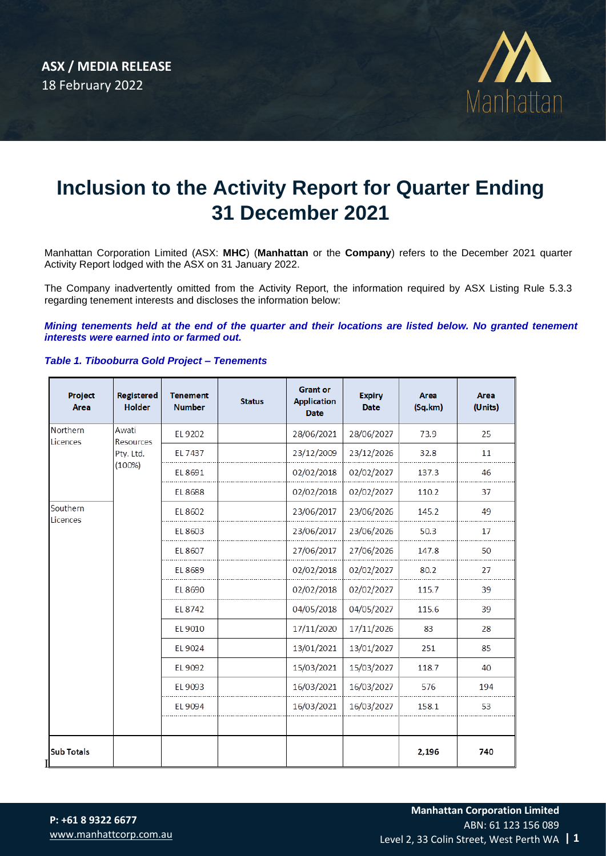

# **Inclusion to the Activity Report for Quarter Ending 31 December 2021**

Manhattan Corporation Limited (ASX: **MHC**) (**Manhattan** or the **Company**) refers to the December 2021 quarter Activity Report lodged with the ASX on 31 January 2022.

The Company inadvertently omitted from the Activity Report, the information required by ASX Listing Rule 5.3.3 regarding tenement interests and discloses the information below:

*Mining tenements held at the end of the quarter and their locations are listed below. No granted tenement interests were earned into or farmed out.* 

## *Table 1. Tibooburra Gold Project – Tenements*

| Project<br><b>Area</b> | Registered<br><b>Holder</b>               | <b>Tenement</b><br><b>Number</b> | <b>Status</b> | <b>Grant or</b><br><b>Application</b><br><b>Date</b> | <b>Expiry</b><br><b>Date</b> | <b>Area</b><br>(Sq.km) | <b>Area</b><br>(Units) |
|------------------------|-------------------------------------------|----------------------------------|---------------|------------------------------------------------------|------------------------------|------------------------|------------------------|
| Northern<br>Licences   | Awati<br>Resources<br>Pty. Ltd.<br>(100%) | EL 9202                          |               | 28/06/2021                                           | 28/06/2027                   | 73.9                   | 25                     |
|                        |                                           | EL 7437                          |               | 23/12/2009                                           | 23/12/2026                   | 32.8                   | 11                     |
|                        |                                           | EL 8691                          |               | 02/02/2018                                           | 02/02/2027                   | 137.3                  | 46                     |
|                        |                                           | EL 8688                          |               | 02/02/2018                                           | 02/02/2027                   | 110.2                  | 37                     |
| Southern<br>Licences   |                                           | EL 8602                          |               | 23/06/2017                                           | 23/06/2026                   | 145.2                  | 49                     |
|                        |                                           | EL 8603                          |               | 23/06/2017                                           | 23/06/2026                   | 50.3                   | 17                     |
|                        |                                           | EL 8607                          |               | 27/06/2017                                           | 27/06/2026                   | 147.8                  | 50                     |
|                        |                                           | EL 8689                          |               | 02/02/2018                                           | 02/02/2027                   | 80.2                   | 27                     |
|                        |                                           | EL 8690                          |               | 02/02/2018                                           | 02/02/2027                   | 115.7                  | 39                     |
|                        |                                           | EL 8742                          |               | 04/05/2018                                           | 04/05/2027                   | 115.6                  | 39                     |
|                        |                                           | EL 9010                          |               | 17/11/2020                                           | 17/11/2026                   | 83                     | 28                     |
|                        |                                           | EL 9024                          |               | 13/01/2021                                           | 13/01/2027                   | 251                    | 85                     |
|                        |                                           | EL 9092                          |               | 15/03/2021                                           | 15/03/2027                   | 118.7                  | 40                     |
|                        |                                           | EL 9093                          |               | 16/03/2021                                           | 16/03/2027                   | 576                    | 194                    |
|                        |                                           | EL 9094                          |               | 16/03/2021                                           | 16/03/2027                   | 158.1                  | 53                     |
|                        |                                           |                                  |               |                                                      |                              |                        |                        |
| <b>Sub Totals</b>      |                                           |                                  |               |                                                      |                              | 2,196                  | 740                    |